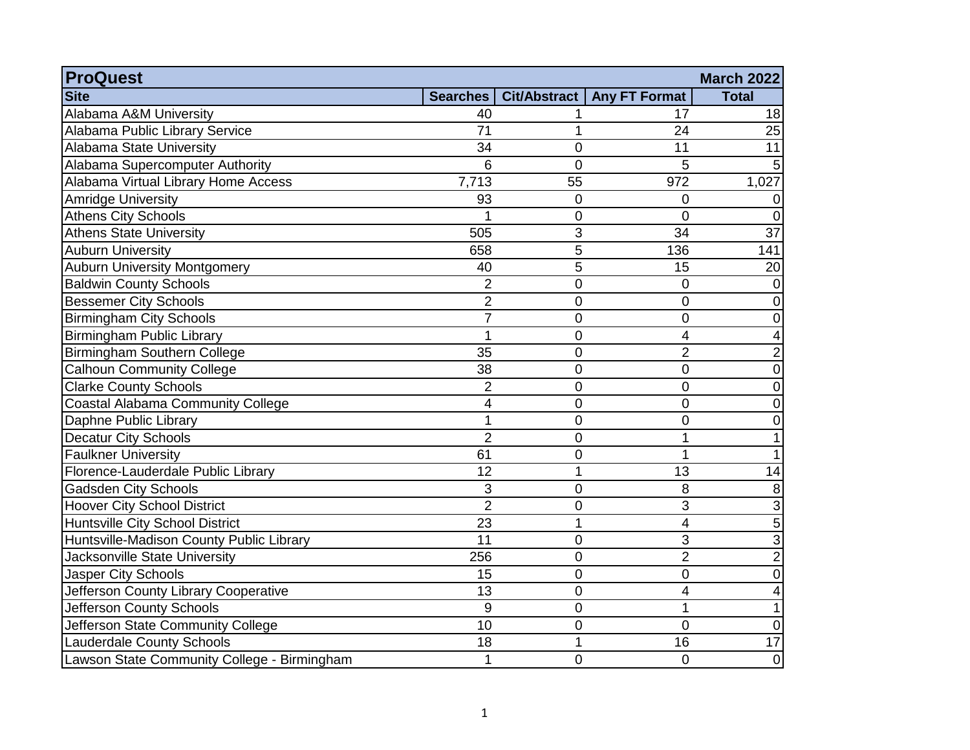| <b>ProQuest</b>                             |                |                |                      | <b>March 2022</b> |
|---------------------------------------------|----------------|----------------|----------------------|-------------------|
| <b>Site</b>                                 | Searches       | Cit/Abstract   | <b>Any FT Format</b> | <b>Total</b>      |
| Alabama A&M University                      | 40             |                | 17                   | 18                |
| Alabama Public Library Service              | 71             |                | 24                   | 25                |
| <b>Alabama State University</b>             | 34             | 0              | 11                   | 11                |
| Alabama Supercomputer Authority             | 6              | $\overline{0}$ | 5                    |                   |
| Alabama Virtual Library Home Access         | 7,713          | 55             | 972                  | 1,027             |
| Amridge University                          | 93             | 0              | 0                    | 0                 |
| <b>Athens City Schools</b>                  |                | 0              | $\overline{0}$       | $\Omega$          |
| <b>Athens State University</b>              | 505            | 3              | 34                   | $\overline{37}$   |
| <b>Auburn University</b>                    | 658            | 5              | 136                  | 141               |
| <b>Auburn University Montgomery</b>         | 40             | $\overline{5}$ | 15                   | 20                |
| <b>Baldwin County Schools</b>               | $\overline{2}$ | 0              | $\overline{0}$       | 0                 |
| <b>Bessemer City Schools</b>                | $\overline{2}$ | 0              | $\mathbf 0$          | 0                 |
| <b>Birmingham City Schools</b>              | $\overline{7}$ | 0              | 0                    | 0                 |
| Birmingham Public Library                   | 1              | 0              | 4                    | 4                 |
| Birmingham Southern College                 | 35             | 0              | $\overline{2}$       | $\overline{2}$    |
| <b>Calhoun Community College</b>            | 38             | $\mathbf 0$    | $\mathbf 0$          | 0                 |
| <b>Clarke County Schools</b>                | $\overline{2}$ | 0              | 0                    | 0                 |
| <b>Coastal Alabama Community College</b>    | $\overline{4}$ | $\overline{0}$ | $\overline{0}$       | 0                 |
| Daphne Public Library                       | 1              | 0              | 0                    | 0                 |
| <b>Decatur City Schools</b>                 | $\overline{2}$ | 0              | 1                    |                   |
| <b>Faulkner University</b>                  | 61             | 0              |                      |                   |
| Florence-Lauderdale Public Library          | 12             | 1              | 13                   | 14                |
| <b>Gadsden City Schools</b>                 | 3              | 0              | 8                    | 8                 |
| <b>Hoover City School District</b>          | $\overline{2}$ | 0              | 3                    | 3                 |
| Huntsville City School District             | 23             | 1              | 4                    | 5                 |
| Huntsville-Madison County Public Library    | 11             | 0              | 3                    | 3                 |
| Jacksonville State University               | 256            | 0              | $\overline{2}$       | $\overline{c}$    |
| Jasper City Schools                         | 15             | 0              | 0                    | $\mathbf 0$       |
| Jefferson County Library Cooperative        | 13             | 0              | 4                    | 4                 |
| Jefferson County Schools                    | 9              | 0              | 1                    | 1                 |
| Jefferson State Community College           | 10             | 0              | $\overline{0}$       | $\mathbf 0$       |
| <b>Lauderdale County Schools</b>            | 18             | 1              | 16                   | 17                |
| Lawson State Community College - Birmingham | 1              | 0              | $\mathbf 0$          | $\mathbf 0$       |